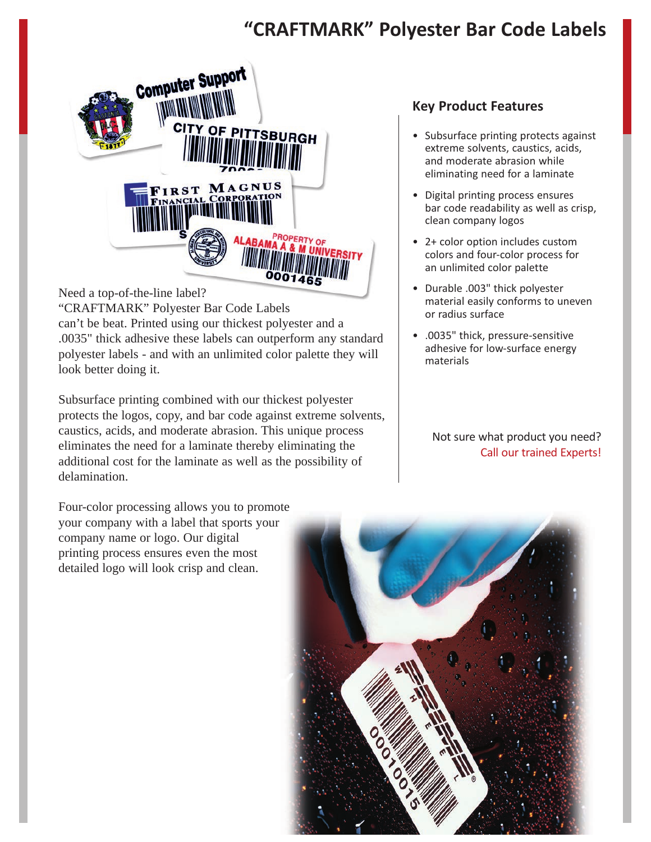# **"CRAFTMARK" Polyester Bar Code Labels**



Need a top-of-the-line label?

"CRAFTMARK" Polyester Bar Code Labels can't be beat. Printed using our thickest polyester and a .0035" thick adhesive these labels can outperform any standard polyester labels - and with an unlimited color palette they will look better doing it.

Subsurface printing combined with our thickest polyester protects the logos, copy, and bar code against extreme solvents, caustics, acids, and moderate abrasion. This unique process eliminates the need for a laminate thereby eliminating the additional cost for the laminate as well as the possibility of delamination.

Four-color processing allows you to promote your company with a label that sports your company name or logo. Our digital printing process ensures even the most detailed logo will look crisp and clean.

# **Key Product Features**

- Subsurface printing protects against extreme solvents, caustics, acids, and moderate abrasion while eliminating need for a laminate
- Digital printing process ensures bar code readability as well as crisp, clean company logos
- 2+ color option includes custom colors and four-color process for an unlimited color palette
- Durable .003" thick polyester material easily conforms to uneven or radius surface
- .0035" thick, pressure-sensitive adhesive for low-surface energy materials

Not sure what product you need? Call our trained Experts!